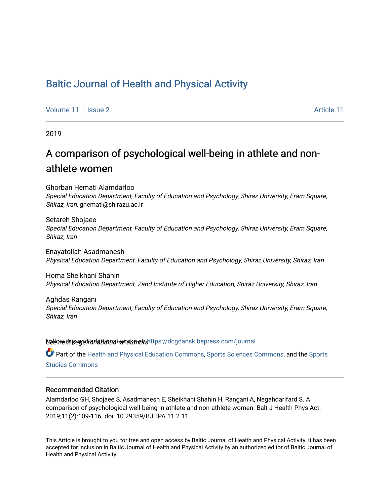# [Baltic Journal of Health and Physical Activity](https://dcgdansk.bepress.com/journal)

[Volume 11](https://dcgdansk.bepress.com/journal/vol11) | [Issue 2](https://dcgdansk.bepress.com/journal/vol11/iss2) [Article 11](https://dcgdansk.bepress.com/journal/vol11/iss2/11) | Issue 2 Article 11 | Issue 2 Article 11 | Issue 2 Article 11 | Issue 2 Article 11

2019

# A comparison of psychological well-being in athlete and nonathlete women

Ghorban Hemati Alamdarloo Special Education Department, Faculty of Education and Psychology, Shiraz University, Eram Square, Shiraz, Iran, ghemati@shirazu.ac.ir

Setareh Shojaee Special Education Department, Faculty of Education and Psychology, Shiraz University, Eram Square, Shiraz, Iran

Enayatollah Asadmanesh Physical Education Department, Faculty of Education and Psychology, Shiraz University, Shiraz, Iran

Homa Sheikhani Shahin Physical Education Department, Zand Institute of Higher Education, Shiraz University, Shiraz, Iran

Aghdas Rangani Special Education Department, Faculty of Education and Psychology, Shiraz University, Eram Square, Shiraz, Iran

Sellow this ane diditional authors Follow this Follow this and additional sellow this and additional sellow that

Part of the [Health and Physical Education Commons](http://network.bepress.com/hgg/discipline/1327?utm_source=dcgdansk.bepress.com%2Fjournal%2Fvol11%2Fiss2%2F11&utm_medium=PDF&utm_campaign=PDFCoverPages), [Sports Sciences Commons](http://network.bepress.com/hgg/discipline/759?utm_source=dcgdansk.bepress.com%2Fjournal%2Fvol11%2Fiss2%2F11&utm_medium=PDF&utm_campaign=PDFCoverPages), and the Sports [Studies Commons](http://network.bepress.com/hgg/discipline/1198?utm_source=dcgdansk.bepress.com%2Fjournal%2Fvol11%2Fiss2%2F11&utm_medium=PDF&utm_campaign=PDFCoverPages) 

### Recommended Citation

Alamdarloo GH, Shojaee S, Asadmanesh E, Sheikhani Shahin H, Rangani A, Negahdarifard S. A comparison of psychological well-being in athlete and non-athlete women. Balt J Health Phys Act. 2019;11(2):109-116. doi: 10.29359/BJHPA.11.2.11

This Article is brought to you for free and open access by Baltic Journal of Health and Physical Activity. It has been accepted for inclusion in Baltic Journal of Health and Physical Activity by an authorized editor of Baltic Journal of Health and Physical Activity.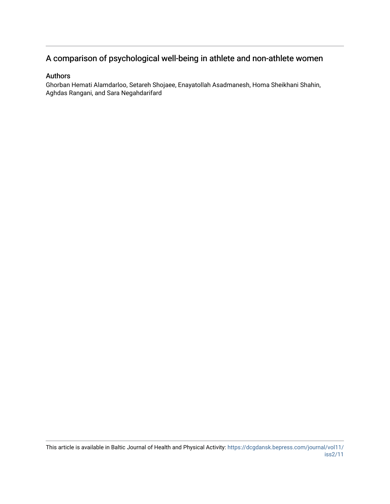# A comparison of psychological well-being in athlete and non-athlete women

### Authors

Ghorban Hemati Alamdarloo, Setareh Shojaee, Enayatollah Asadmanesh, Homa Sheikhani Shahin, Aghdas Rangani, and Sara Negahdarifard

This article is available in Baltic Journal of Health and Physical Activity: [https://dcgdansk.bepress.com/journal/vol11/](https://dcgdansk.bepress.com/journal/vol11/iss2/11) [iss2/11](https://dcgdansk.bepress.com/journal/vol11/iss2/11)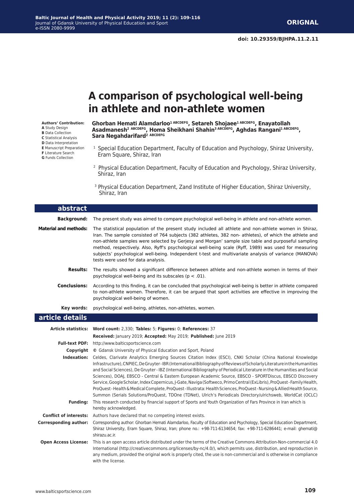# **A comparison of psychological well-being in athlete and non-athlete women**

#### **Authors' Contribution:**

**A** Study Design **B** Data Collection **C** Statistical Analysis **D** Data Interpretation **E** Manuscript Preparation **F** Literature Search **G** Funds Collection

Ghorban Hemati Alamdarloo<sup>1 ABCDEFG</sup>, Setareh Shojaee<sup>1 ABCDEFG</sup>, Enayatollah **Asadmanesh2 ABCDEFG, Homa Sheikhani Shahin3 ABCDEFG, Aghdas Rangani1 ABCDEFG, Sara Negahdarifard2 ABCDEFG**

- <sup>1</sup> Special Education Department, Faculty of Education and Psychology, Shiraz University, Eram Square, Shiraz, Iran
- 2 Physical Education Department, Faculty of Education and Psychology, Shiraz University, Shiraz, Iran
- 3 Physical Education Department, Zand Institute of Higher Education, Shiraz University, Shiraz, Iran

| abstract                     |                                                                                                                                                                                                                                                                                                                                                                                                                                                                                                                                                                                                                                                                                                                                                                                                                                                  |
|------------------------------|--------------------------------------------------------------------------------------------------------------------------------------------------------------------------------------------------------------------------------------------------------------------------------------------------------------------------------------------------------------------------------------------------------------------------------------------------------------------------------------------------------------------------------------------------------------------------------------------------------------------------------------------------------------------------------------------------------------------------------------------------------------------------------------------------------------------------------------------------|
| <b>Background:</b>           | The present study was aimed to compare psychological well-being in athlete and non-athlete women.                                                                                                                                                                                                                                                                                                                                                                                                                                                                                                                                                                                                                                                                                                                                                |
| <b>Material and methods:</b> | The statistical population of the present study included all athlete and non-athlete women in Shiraz,<br>Iran. The sample consisted of 764 subjects (382 athletes, 382 non- athletes), of which the athlete and<br>non-athlete samples were selected by Gerjesy and Morgan' sample size table and purposeful sampling<br>method, respectively. Also, Ryff's psychological well-being scale (Ryff, 1989) was used for measuring<br>subjects' psychological well-being. Independent t-test and multivariate analysis of variance (MANOVA)<br>tests were used for data analysis.                                                                                                                                                                                                                                                                    |
| <b>Results:</b>              | The results showed a significant difference between athlete and non-athlete women in terms of their<br>psychological well-being and its subscales ( $p < .01$ ).                                                                                                                                                                                                                                                                                                                                                                                                                                                                                                                                                                                                                                                                                 |
| <b>Conclusions:</b>          | According to this finding, it can be concluded that psychological well-being is better in athlete compared<br>to non-athlete women. Therefore, it can be argued that sport activities are effective in improving the<br>psychological well-being of women.                                                                                                                                                                                                                                                                                                                                                                                                                                                                                                                                                                                       |
| Key words:                   | psychological well-being, athletes, non-athletes, women.                                                                                                                                                                                                                                                                                                                                                                                                                                                                                                                                                                                                                                                                                                                                                                                         |
| article details              |                                                                                                                                                                                                                                                                                                                                                                                                                                                                                                                                                                                                                                                                                                                                                                                                                                                  |
|                              |                                                                                                                                                                                                                                                                                                                                                                                                                                                                                                                                                                                                                                                                                                                                                                                                                                                  |
|                              | Article statistics: Word count: 2,330; Tables: 5; Figures: 0; References: 37                                                                                                                                                                                                                                                                                                                                                                                                                                                                                                                                                                                                                                                                                                                                                                     |
| <b>Full-text PDF:</b>        | Received: January 2019; Accepted: May 2019; Published: June 2019                                                                                                                                                                                                                                                                                                                                                                                                                                                                                                                                                                                                                                                                                                                                                                                 |
|                              | http://www.balticsportscience.com<br><b>Copyright</b> © Gdansk University of Physical Education and Sport, Poland                                                                                                                                                                                                                                                                                                                                                                                                                                                                                                                                                                                                                                                                                                                                |
| Indexation:                  | Celdes, Clarivate Analytics Emerging Sources Citation Index (ESCI), CNKI Scholar (China National Knowledge<br>Infrastructure), CNPIEC, De Gruyter-IBR (International Bibliography of Reviews of Scholarly Literature in the Humanities<br>and Social Sciences), De Gruyter - IBZ (International Bibliography of Periodical Literature in the Humanities and Social<br>Sciences), DOAJ, EBSCO - Central & Eastern European Academic Source, EBSCO - SPORTDiscus, EBSCO Discovery<br>Service, Google Scholar, Index Copernicus, J-Gate, Naviga (Softweco, Primo Central (ExLibris), ProQuest-Family Health,<br>ProQuest-Health & Medical Complete, ProQuest-Illustrata: Health Sciences, ProQuest-Nursing & Allied Health Source,<br>Summon (Serials Solutions/ProQuest, TDOne (TDNet), Ulrich's Periodicals Directory/ulrichsweb, WorldCat (OCLC) |
| <b>Funding:</b>              | This research conducted by financial support of Sports and Youth Organization of Fars Province in Iran which is<br>hereby acknowledged.                                                                                                                                                                                                                                                                                                                                                                                                                                                                                                                                                                                                                                                                                                          |
|                              | <b>Conflict of interests:</b> Authors have declared that no competing interest exists.                                                                                                                                                                                                                                                                                                                                                                                                                                                                                                                                                                                                                                                                                                                                                           |
| <b>Corresponding author:</b> | Corresponding author: Ghorban Hemati Alamdarloo, Faculty of Education and Psychology, Special Education Department,<br>Shiraz University, Eram Square, Shiraz, Iran; phone no.: +98-711-6134654; fax: +98-711-6286441; e-mail: ghemati@<br>shirazu.ac.ir.                                                                                                                                                                                                                                                                                                                                                                                                                                                                                                                                                                                        |

International (http://creativecommons.org/licenses/by-nc/4.0/), which permits use, distribution, and reproduction in any medium, provided the original work is properly cited, the use is non-commercial and is otherwise in compliance with the license.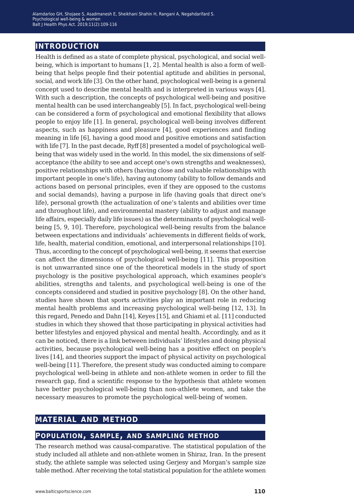# **introduction**

Health is defined as a state of complete physical, psychological, and social wellbeing, which is important to humans [1, 2]. Mental health is also a form of wellbeing that helps people find their potential aptitude and abilities in personal, social, and work life [3]. On the other hand, psychological well-being is a general concept used to describe mental health and is interpreted in various ways [4]. With such a description, the concepts of psychological well-being and positive mental health can be used interchangeably [5]. In fact, psychological well-being can be considered a form of psychological and emotional flexibility that allows people to enjoy life [1]. In general, psychological well-being involves different aspects, such as happiness and pleasure [4], good experiences and finding meaning in life [6], having a good mood and positive emotions and satisfaction with life [7]. In the past decade, Ryff [8] presented a model of psychological wellbeing that was widely used in the world. In this model, the six dimensions of selfacceptance (the ability to see and accept one's own strengths and weaknesses), positive relationships with others (having close and valuable relationships with important people in one's life), having autonomy (ability to follow demands and actions based on personal principles, even if they are opposed to the customs and social demands), having a purpose in life (having goals that direct one's life), personal growth (the actualization of one's talents and abilities over time and throughout life), and environmental mastery (ability to adjust and manage life affairs, especially daily life issues) as the determinants of psychological wellbeing [5, 9, 10]. Therefore, psychological well-being results from the balance between expectations and individuals' achievements in different fields of work, life, health, material condition, emotional, and interpersonal relationships [10]. Thus, according to the concept of psychological well-being, it seems that exercise can affect the dimensions of psychological well-being [11]. This proposition is not unwarranted since one of the theoretical models in the study of sport psychology is the positive psychological approach, which examines people's abilities, strengths and talents, and psychological well-being is one of the concepts considered and studied in positive psychology [8]. On the other hand, studies have shown that sports activities play an important role in reducing mental health problems and increasing psychological well-being [12, 13]. In this regard, Penedo and Dahn [14], Keyes [15], and Ghiami et al. [11] conducted studies in which they showed that those participating in physical activities had better lifestyles and enjoyed physical and mental health. Accordingly, and as it can be noticed, there is a link between individuals' lifestyles and doing physical activities, because psychological well-being has a positive effect on people's lives [14], and theories support the impact of physical activity on psychological well-being [11]. Therefore, the present study was conducted aiming to compare psychological well-being in athlete and non-athlete women in order to fill the research gap, find a scientific response to the hypothesis that athlete women have better psychological well-being than non-athlete women, and take the necessary measures to promote the psychological well-being of women.

# **material and method**

# **population, sample, and sampling method**

The research method was causal-comparative. The statistical population of the study included all athlete and non-athlete women in Shiraz, Iran. In the present study, the athlete sample was selected using Gerjesy and Morgan's sample size table method. After receiving the total statistical population for the athlete women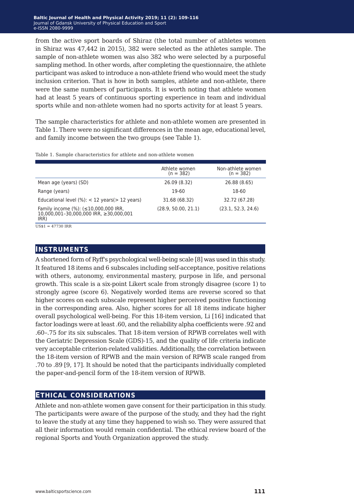from the active sport boards of Shiraz (the total number of athletes women in Shiraz was 47,442 in 2015), 382 were selected as the athletes sample. The sample of non-athlete women was also 382 who were selected by a purposeful sampling method. In other words, after completing the questionnaire, the athlete participant was asked to introduce a non-athlete friend who would meet the study inclusion criterion. That is how in both samples, athlete and non-athlete, there were the same numbers of participants. It is worth noting that athlete women had at least 5 years of continuous sporting experience in team and individual sports while and non-athlete women had no sports activity for at least 5 years.

The sample characteristics for athlete and non-athlete women are presented in Table 1. There were no significant differences in the mean age, educational level, and family income between the two groups (see Table 1).

|                                                                                        | Athlete women<br>$(n = 382)$ | Non-athlete women<br>$(n = 382)$ |
|----------------------------------------------------------------------------------------|------------------------------|----------------------------------|
| Mean age (years) (SD)                                                                  | 26.09 (8.32)                 | 26.88 (8.65)                     |
| Range (years)                                                                          | 19-60                        | 18-60                            |
| Educational level $(\%)$ : < 12 years $(> 12$ years)                                   | 31.68 (68.32)                | 32.72 (67.28)                    |
| Family income (%): (≤10,000,000 IRR,<br>10,000,001-30,000,000 IRR, ≥30,000,001<br>IRR) | (28.9, 50.00, 21.1)          | (23.1, 52.3, 24.6)               |

Table 1. Sample characteristics for athlete and non-athlete women

#### $USS1 = 47730$  IRR

### **instruments**

A shortened form of Ryff's psychological well-being scale [8] was used in this study. It featured 18 items and 6 subscales including self-acceptance, positive relations with others, autonomy, environmental mastery, purpose in life, and personal growth. This scale is a six-point Likert scale from strongly disagree (score 1) to strongly agree (score 6). Negatively worded items are reverse scored so that higher scores on each subscale represent higher perceived positive functioning in the corresponding area. Also, higher scores for all 18 items indicate higher overall psychological well-being. For this 18-item version, Li [16] indicated that factor loadings were at least .60, and the reliability alpha coefficients were .92 and .60–.75 for its six subscales. That 18-item version of RPWB correlates well with the Geriatric Depression Scale (GDS)-15, and the quality of life criteria indicate very acceptable criterion-related validities. Additionally, the correlation between the 18-item version of RPWB and the main version of RPWB scale ranged from .70 to .89 [9, 17]. It should be noted that the participants individually completed the paper-and-pencil form of the 18-item version of RPWB.

### **ethical considerations**

Athlete and non-athlete women gave consent for their participation in this study. The participants were aware of the purpose of the study, and they had the right to leave the study at any time they happened to wish so. They were assured that all their information would remain confidential. The ethical review board of the regional Sports and Youth Organization approved the study.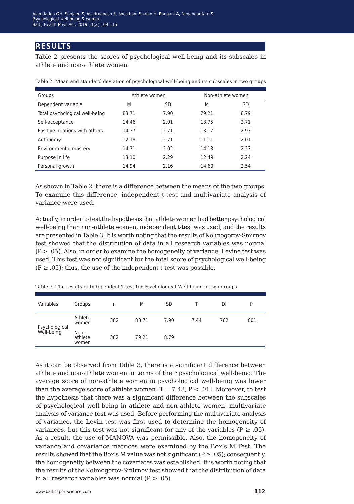## **results**

Table 2 presents the scores of psychological well-being and its subscales in athlete and non-athlete women

| Groups                         | Athlete women |      | Non-athlete women |      |
|--------------------------------|---------------|------|-------------------|------|
| Dependent variable             | M             | SD   | M                 | SD   |
| Total psychological well-being | 83.71         | 7.90 | 79.21             | 8.79 |
| Self-acceptance                | 14.46         | 2.01 | 13.75             | 2.71 |
| Positive relations with others | 14.37         | 2.71 | 13.17             | 2.97 |
| Autonomy                       | 12.18         | 2.71 | 11.11             | 2.01 |
| Environmental mastery          | 14.71         | 2.02 | 14.13             | 2.23 |
| Purpose in life                | 13.10         | 2.29 | 12.49             | 2.24 |
| Personal growth                | 14.94         | 2.16 | 14.60             | 2.54 |

Table 2. Mean and standard deviation of psychological well-being and its subscales in two groups

As shown in Table 2, there is a difference between the means of the two groups. To examine this difference, independent t-test and multivariate analysis of variance were used.

Actually, in order to test the hypothesis that athlete women had better psychological well-being than non-athlete women, independent t-test was used, and the results are presented in Table 3. It is worth noting that the results of Kolmogorov-Smirnov test showed that the distribution of data in all research variables was normal  $(P > .05)$ . Also, in order to examine the homogeneity of variance, Levine test was used. This test was not significant for the total score of psychological well-being  $(P \ge .05)$ ; thus, the use of the independent t-test was possible.

| Variables                   | Groups                   | n   | M     | <b>SD</b> |      | Df  | P    |
|-----------------------------|--------------------------|-----|-------|-----------|------|-----|------|
| Psychological<br>Well-being | Athlete<br>women         | 382 | 83.71 | 7.90      | 7.44 | 762 | .001 |
|                             | Non-<br>athlete<br>women | 382 | 79.21 | 8.79      |      |     |      |

Table 3. The results of Independent T-test for Psychological Well-being in two groups

As it can be observed from Table 3, there is a significant difference between athlete and non-athlete women in terms of their psychological well-being. The average score of non-athlete women in psychological well-being was lower than the average score of athlete women  $[T = 7.43, P < .01]$ . Moreover, to test the hypothesis that there was a significant difference between the subscales of psychological well-being in athlete and non-athlete women, multivariate analysis of variance test was used. Before performing the multivariate analysis of variance, the Levin test was first used to determine the homogeneity of variances, but this test was not significant for any of the variables ( $P \ge .05$ ). As a result, the use of MANOVA was permissible. Also, the homogeneity of variance and covariance matrices were examined by the Box's M Test. The results showed that the Box's M value was not significant ( $P \ge .05$ ); consequently, the homogeneity between the covariates was established. It is worth noting that the results of the Kolmogorov-Smirnov test showed that the distribution of data in all research variables was normal  $(P > .05)$ .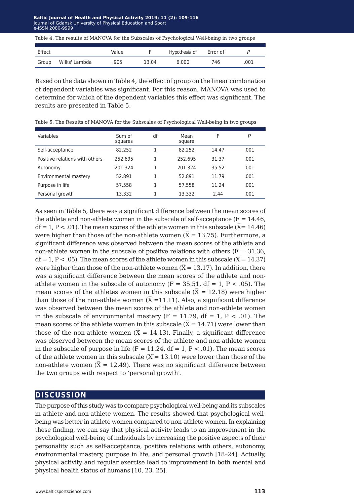Baltic Journal of Health and Physical Activity 2019; 11 (2): 109-116 Journal of Gdansk University of Physical Education and Sport Journal of Gdansk University of Physical Education and Sport e-ISSN 2080-9999 e-ISSN 2080-9999

|  |  |  | Table 4. The results of MANOVA for the Subscales of Psychological Well-being in two groups |  |
|--|--|--|--------------------------------------------------------------------------------------------|--|
|  |  |  |                                                                                            |  |

| Effect |               | Value |       | Hypothesis df Error df |      |      |
|--------|---------------|-------|-------|------------------------|------|------|
| Group  | Wilks' Lambda | .905  | 13.04 | 6.000                  | 746. | 001. |

Based on the data shown in Table 4, the effect of group on the linear combination of dependent variables was significant. For this reason, MANOVA was used to determine for which of the dependent variables this effect was significant. The results are presented in Table 5.

Table 5. The Results of MANOVA for the Subscales of Psychological Well-being in two groups

| Variables                      | Sum of<br>squares | df | Mean<br>square | F     | P    |
|--------------------------------|-------------------|----|----------------|-------|------|
| Self-acceptance                | 82.252            |    | 82.252         | 14.47 | .001 |
| Positive relations with others | 252.695           |    | 252.695        | 31.37 | .001 |
| Autonomy                       | 201.324           |    | 201.324        | 35.52 | .001 |
| Environmental mastery          | 52.891            |    | 52.891         | 11.79 | .001 |
| Purpose in life                | 57.558            |    | 57.558         | 11.24 | .001 |
| Personal growth                | 13.332            |    | 13.332         | 2.44  | .001 |

As seen in Table 5, there was a significant difference between the mean scores of the athlete and non-athlete women in the subscale of self-acceptance  $(F = 14.46)$ , df = 1, P < .01). The mean scores of the athlete women in this subscale ( $\bar{X}$ = 14.46) were higher than those of the non-athlete women ( $\bar{X}$  = 13.75). Furthermore, a significant difference was observed between the mean scores of the athlete and non-athlete women in the subscale of positive relations with others  $(F = 31.36)$ ,  $df = 1, P < .05$ ). The mean scores of the athlete women in this subscale ( $\overline{X} = 14.37$ ) were higher than those of the non-athlete women ( $\bar{X}$  = 13.17). In addition, there was a significant difference between the mean scores of the athlete and nonathlete women in the subscale of autonomy  $(F = 35.51, df = 1, P < .05)$ . The mean scores of the athletes women in this subscale  $(\overline{X} = 12.18)$  were higher than those of the non-athlete women  $(X = 11.11)$ . Also, a significant difference was observed between the mean scores of the athlete and non-athlete women in the subscale of environmental mastery  $(F = 11.79, df = 1, P < .01)$ . The mean scores of the athlete women in this subscale  $(X = 14.71)$  were lower than those of the non-athlete women  $(X = 14.13)$ . Finally, a significant difference was observed between the mean scores of the athlete and non-athlete women in the subscale of purpose in life  $(F = 11.24, df = 1, P < .01)$ . The mean scores of the athlete women in this subscale  $(X = 13.10)$  were lower than those of the non-athlete women ( $\bar{X}$  = 12.49). There was no significant difference between the two groups with respect to 'personal growth'.

### **discussion**

The purpose of this study was to compare psychological well-being and its subscales in athlete and non-athlete women. The results showed that psychological wellbeing was better in athlete women compared to non-athlete women. In explaining these finding, we can say that physical activity leads to an improvement in the psychological well-being of individuals by increasing the positive aspects of their personality such as self-acceptance, positive relations with others, autonomy, environmental mastery, purpose in life, and personal growth [18–24]. Actually, physical activity and regular exercise lead to improvement in both mental and physical health status of humans [10, 23, 25].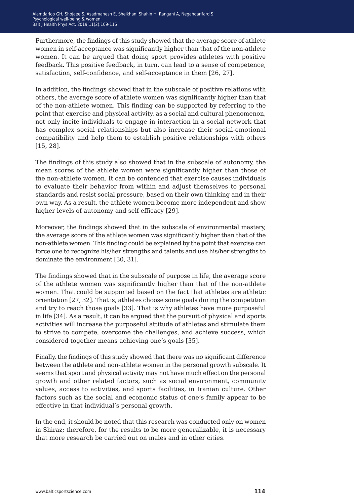Furthermore, the findings of this study showed that the average score of athlete women in self-acceptance was significantly higher than that of the non-athlete women. It can be argued that doing sport provides athletes with positive feedback. This positive feedback, in turn, can lead to a sense of competence, satisfaction, self-confidence, and self-acceptance in them [26, 27].

In addition, the findings showed that in the subscale of positive relations with others, the average score of athlete women was significantly higher than that of the non-athlete women. This finding can be supported by referring to the point that exercise and physical activity, as a social and cultural phenomenon, not only incite individuals to engage in interaction in a social network that has complex social relationships but also increase their social-emotional compatibility and help them to establish positive relationships with others [15, 28].

The findings of this study also showed that in the subscale of autonomy, the mean scores of the athlete women were significantly higher than those of the non-athlete women. It can be contended that exercise causes individuals to evaluate their behavior from within and adjust themselves to personal standards and resist social pressure, based on their own thinking and in their own way. As a result, the athlete women become more independent and show higher levels of autonomy and self-efficacy [29].

Moreover, the findings showed that in the subscale of environmental mastery, the average score of the athlete women was significantly higher than that of the non-athlete women. This finding could be explained by the point that exercise can force one to recognize his/her strengths and talents and use his/her strengths to dominate the environment [30, 31].

The findings showed that in the subscale of purpose in life, the average score of the athlete women was significantly higher than that of the non-athlete women. That could be supported based on the fact that athletes are athletic orientation [27, 32]. That is, athletes choose some goals during the competition and try to reach those goals [33]. That is why athletes have more purposeful in life [34]. As a result, it can be argued that the pursuit of physical and sports activities will increase the purposeful attitude of athletes and stimulate them to strive to compete, overcome the challenges, and achieve success, which considered together means achieving one's goals [35].

Finally, the findings of this study showed that there was no significant difference between the athlete and non-athlete women in the personal growth subscale. It seems that sport and physical activity may not have much effect on the personal growth and other related factors, such as social environment, community values, access to activities, and sports facilities, in Iranian culture. Other factors such as the social and economic status of one's family appear to be effective in that individual's personal growth.

In the end, it should be noted that this research was conducted only on women in Shiraz; therefore, for the results to be more generalizable, it is necessary that more research be carried out on males and in other cities.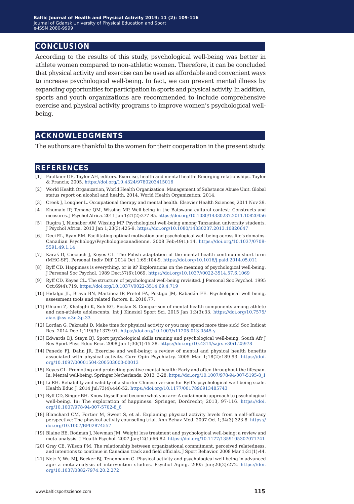## **conclusion**

According to the results of this study, psychological well-being was better in athlete women compared to non-athletic women. Therefore, it can be concluded that physical activity and exercise can be used as affordable and convenient ways to increase psychological well-being. In fact, we can prevent mental illness by expanding opportunities for participation in sports and physical activity. In addition, sports and youth organizations are recommended to include comprehensive exercise and physical activity programs to improve women's psychological wellbeing.

# **acknowledgments**

The authors are thankful to the women for their cooperation in the present study.

### **references**

- [1] Faulkner GE, Taylor AH, editors. Exercise, health and mental health: Emerging relationships. Taylor & Francis; 2005. <https://doi.org/10.4324/9780203415016>
- [2] World Health Organization, World Health Organization. Management of Substance Abuse Unit. Global status report on alcohol and health, 2014. World Health Organization; 2014.
- [3] Creek J, Lougher L. Occupational therapy and mental health. Elsevier Health Sciences; 2011 Nov 29.
- [4] Khumalo IP, Temane QM, Wissing MP. Well-being in the Batswana cultural context: Constructs and measures. J Psychol Africa. 2011 Jan 1;21(2):277-85.<https://doi.org/10.1080/14330237.2011.10820456>
- [5] Rugira J, Nienaber AW, Wissing MP. Psychological well-being among Tanzanian university students. J Psychol Africa. 2013 Jan 1;23(3):425-9. <https://doi.org/10.1080/14330237.2013.10820647>
- [6] Deci EL, Ryan RM. Facilitating optimal motivation and psychological well-being across life's domains. Canadian Psychology/Psychologiecanadienne. 2008 Feb;49(1):14. [https://doi.org/10.1037/0708-](https://doi.org/10.1037/0708-5591.49.1.14) [5591.49.1.14](https://doi.org/10.1037/0708-5591.49.1.14)
- [7] Karaś D, Cieciuch J, Keyes CL. The Polish adaptation of the mental health continuum-short form (MHC-SF). Personal Indiv Diff. 2014 Oct 1;69:104-9. <https://doi.org/10.1016/j.paid.2014.05.011>
- [8] Ryff CD. Happiness is everything, or is it? Explorations on the meaning of psychological well-being. J Personal Soc Psychol. 1989 Dec;57(6):1069. <https://doi.org/10.1037//0022-3514.57.6.1069>
- [9] Ryff CD, Keyes CL. The structure of psychological well-being revisited. J Personal Soc Psychol. 1995 Oct;69(4):719. <https://doi.org/10.1037//0022-3514.69.4.719>
- [10] Hidalgo JL, Bravo BN, Martínez IP, Pretel FA, Postigo JM, Rabadán FE. Psychological well-being, assessment tools and related factors. ii. 2010:77.
- [11] Ghiami Z, Khalaghi K, Soh KG, Roslan S. Comparison of mental health components among athlete and non-athlete adolescents. Int J Kinesiol Sport Sci. 2015 Jan 1;3(3):33. [https://doi.org/10.7575/](https://doi.org/10.7575/aiac.ijkss.v.3n.3p.33) [aiac.ijkss.v.3n.3p.33](https://doi.org/10.7575/aiac.ijkss.v.3n.3p.33)
- [12] Lordan G, Pakrashi D. Make time for physical activity or you may spend more time sick! Soc Indicat Res. 2014 Dec 1;119(3):1379-91.<https://doi.org/10.1007/s11205-013-0545-y>
- [13] Edwards DJ, Steyn BJ. Sport psychological skills training and psychological well-being. South Afr J Res Sport Phys Educ Recr. 2008 Jan 1;30(1):15-28. <https://doi.org/10.4314/sajrs.v30i1.25978>
- [14] Penedo FJ, Dahn JR. Exercise and well-being: a review of mental and physical health benefits associated with physical activity. Curr Opin Psychiatry. 2005 Mar 1;18(2):189-93. [https://doi.](https://doi.org/10.1097/00001504-200503000-00013) [org/10.1097/00001504-200503000-00013](https://doi.org/10.1097/00001504-200503000-00013)
- [15] Keyes CL. Promoting and protecting positive mental health: Early and often throughout the lifespan. In: Mental well-being. Springer Netherlands; 2013, 3-28. [https://doi.org/10.1007/978-94-007-5195-8\\_1](https://doi.org/10.1007/978-94-007-5195-8_1)
- [16] Li RH. Reliability and validity of a shorter Chinese version for Ryff's psychological well-being scale. Health Educ J. 2014 Jul;73(4):446-52.<https://doi.org/10.1177/0017896913485743>
- [17] Ryff CD, Singer BH. Know thyself and become what you are: A eudaimonic approach to psychological well-being. In: The exploration of happiness. Springer, Dordrecht; 2013, 97-116. [https://doi.](https://doi.org/10.1007/978-94-007-5702-8_6) [org/10.1007/978-94-007-5702-8\\_6](https://doi.org/10.1007/978-94-007-5702-8_6)
- [18] Blanchard CM, Fortier M, Sweet S, et al. Explaining physical activity levels from a self-efficacy perspective: The physical activity counseling trial. Ann Behav Med. 2007 Oct 1;34(3):323-8. [https://](https://doi.org/10.1007/BF02874557) [doi.org/10.1007/BF02874557](https://doi.org/10.1007/BF02874557)
- [19] Blaine BE, Rodman J, Newman JM. Weight loss treatment and psychological well-being: a review and meta-analysis. J Health Psychol. 2007 Jan;12(1):66-82.<https://doi.org/10.1177/1359105307071741>
- [20] Gray CE, Wilson PM. The relationship between organizational commitment, perceived relatedness, and intentions to continue in Canadian track and field officials. J Sport Behavior. 2008 Mar 1;31(1):44.
- [21] Netz Y, Wu MJ, Becker BJ, Tenenbaum G. Physical activity and psychological well-being in advanced age: a meta-analysis of intervention studies. Psychol Aging. 2005 Jun;20(2):272. [https://doi.](https://doi.org/10.1037/0882-7974.20.2.272) [org/10.1037/0882-7974.20.2.272](https://doi.org/10.1037/0882-7974.20.2.272)